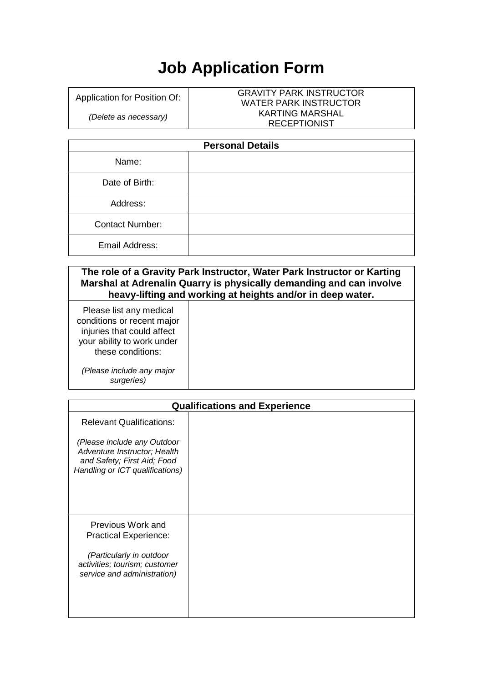## **Job Application Form**

Application for Position Of:

*(Delete as necessary)*

## GRAVITY PARK INSTRUCTOR WATER PARK INSTRUCTOR KARTING MARSHAL RECEPTIONIST

| <b>Personal Details</b> |  |  |
|-------------------------|--|--|
| Name:                   |  |  |
| Date of Birth:          |  |  |
| Address:                |  |  |
| <b>Contact Number:</b>  |  |  |
| Email Address:          |  |  |

| The role of a Gravity Park Instructor, Water Park Instructor or Karting |  |  |
|-------------------------------------------------------------------------|--|--|
| Marshal at Adrenalin Quarry is physically demanding and can involve     |  |  |
| heavy-lifting and working at heights and/or in deep water.              |  |  |
|                                                                         |  |  |

Please list any medical conditions or recent major injuries that could affect your ability to work under these conditions:

*(Please include any major surgeries)*

| <b>Qualifications and Experience</b> |  |  |  |
|--------------------------------------|--|--|--|
|                                      |  |  |  |
|                                      |  |  |  |
|                                      |  |  |  |
|                                      |  |  |  |
|                                      |  |  |  |